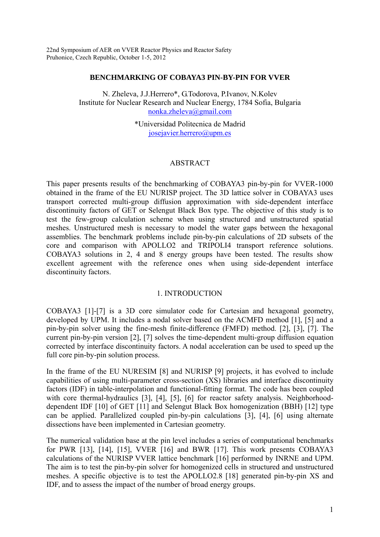22nd Symposium of AER on VVER Reactor Physics and Reactor Safety Pruhonice, Czech Republic, October 1-5, 2012

#### **BENCHMARKING OF COBAYA3 PIN-BY-PIN FOR VVER**

N. Zheleva, J.J.Herrero\*, G.Todorova, P.Ivanov, N.Kolev Institute for Nuclear Research and Nuclear Energy, 1784 Sofia, Bulgaria [nonka.zheleva@gmail.com](mailto:nonka.zheleva@gmail.com)

> \*Universidad Politecnica de Madrid [josejavier.herrero@upm.es](mailto:josejavier.herrero@upm.es)

# ABSTRACT

This paper presents results of the benchmarking of COBAYA3 pin-by-pin for VVER-1000 obtained in the frame of the EU NURISP project. The 3D lattice solver in COBAYA3 uses transport corrected multi-group diffusion approximation with side-dependent interface discontinuity factors of GET or Selengut Black Box type. The objective of this study is to test the few-group calculation scheme when using structured and unstructured spatial meshes. Unstructured mesh is necessary to model the water gaps between the hexagonal assemblies. The benchmark problems include pin-by-pin calculations of 2D subsets of the core and comparison with APOLLO2 and TRIPOLI4 transport reference solutions. COBAYA3 solutions in 2, 4 and 8 energy groups have been tested. The results show excellent agreement with the reference ones when using side-dependent interface discontinuity factors.

### 1. INTRODUCTION

COBAYA3 [1]-[7] is a 3D core simulator code for Cartesian and hexagonal geometry, developed by UPM. It includes a nodal solver based on the ACMFD method [1], [5] and a pin-by-pin solver using the fine-mesh finite-difference (FMFD) method. [2], [3], [7]. The current pin-by-pin version [2], [7] solves the time-dependent multi-group diffusion equation corrected by interface discontinuity factors. A nodal acceleration can be used to speed up the full core pin-by-pin solution process.

In the frame of the EU NURESIM [8] and NURISP [9] projects, it has evolved to include capabilities of using multi-parameter cross-section (XS) libraries and interface discontinuity factors (IDF) in table-interpolation and functional-fitting format. The code has been coupled with core thermal-hydraulics [3], [4], [5], [6] for reactor safety analysis. Neighborhooddependent IDF [10] of GET [11] and Selengut Black Box homogenization (BBH) [12] type can be applied. Parallelized coupled pin-by-pin calculations [3], [4], [6] using alternate dissections have been implemented in Cartesian geometry.

The numerical validation base at the pin level includes a series of computational benchmarks for PWR [13], [14], [15], VVER [16] and BWR [17]. This work presents COBAYA3 calculations of the NURISP VVER lattice benchmark [16] performed by INRNE and UPM. The aim is to test the pin-by-pin solver for homogenized cells in structured and unstructured meshes. A specific objective is to test the APOLLO2.8 [18] generated pin-by-pin XS and IDF, and to assess the impact of the number of broad energy groups.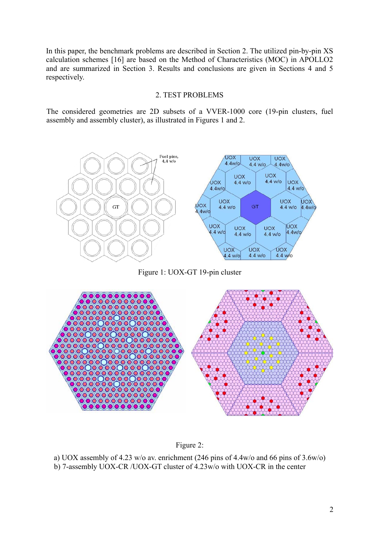In this paper, the benchmark problems are described in Section 2. The utilized pin-by-pin XS calculation schemes [16] are based on the Method of Characteristics (MOC) in APOLLO2 and are summarized in Section 3. Results and conclusions are given in Sections 4 and 5 respectively.

### 2. TEST PROBLEMS

The considered geometries are 2D subsets of a VVER-1000 core (19-pin clusters, fuel assembly and assembly cluster), as illustrated in Figures 1 and 2.



Figure 1: UOX-GT 19-pin cluster



Figure 2:

a) UOX assembly of 4.23 w/o av. enrichment (246 pins of 4.4w/o and 66 pins of 3.6w/o) b) 7-assembly UOX-CR /UOX-GT cluster of 4.23w/o with UOX-CR in the center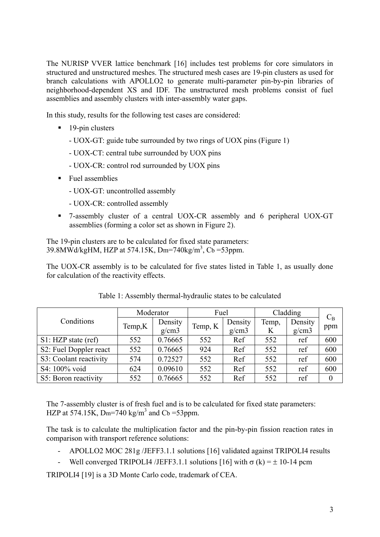The NURISP VVER lattice benchmark [16] includes test problems for core simulators in structured and unstructured meshes. The structured mesh cases are 19-pin clusters as used for branch calculations with APOLLO2 to generate multi-parameter pin-by-pin libraries of neighborhood-dependent XS and IDF. The unstructured mesh problems consist of fuel assemblies and assembly clusters with inter-assembly water gaps.

In this study, results for the following test cases are considered:

- $\blacksquare$  19-pin clusters
	- UOX-GT: guide tube surrounded by two rings of UOX pins (Figure 1)
	- UOX-CT: central tube surrounded by UOX pins
	- UOX-CR: control rod surrounded by UOX pins
- Fuel assemblies
	- UOX-GT: uncontrolled assembly
	- UOX-CR: controlled assembly
- 7-assembly cluster of a central UOX-CR assembly and 6 peripheral UOX-GT assemblies (forming a color set as shown in Figure 2).

The 19-pin clusters are to be calculated for fixed state parameters: 39.8MWd/kgHM, HZP at 574.15K, Dm=740kg/m<sup>3</sup>, Cb =53ppm.

The UOX-CR assembly is to be calculated for five states listed in Table 1, as usually done for calculation of the reactivity effects.

|                                     |        | Moderator | Fuel    |         | Cladding | $C_{B}$ |              |
|-------------------------------------|--------|-----------|---------|---------|----------|---------|--------------|
| Conditions                          | Temp,K | Density   | Temp, K | Density | Temp,    | Density | ppm          |
|                                     |        | g/cm3     |         | g/cm3   | K        | g/cm3   |              |
| S1: HZP state (ref)                 | 552    | 0.76665   | 552     | Ref     | 552      | ref     | 600          |
| S <sub>2</sub> : Fuel Doppler react | 552    | 0.76665   | 924     | Ref     | 552      | ref     | 600          |
| S3: Coolant reactivity              | 574    | 0.72527   | 552     | Ref     | 552      | ref     | 600          |
| S4: 100% void                       | 624    | 0.09610   | 552     | Ref     | 552      | ref     | 600          |
| S5: Boron reactivity                | 552    | 0.76665   | 552     | Ref     | 552      | ref     | $\mathbf{0}$ |

Table 1: Assembly thermal-hydraulic states to be calculated

The 7-assembly cluster is of fresh fuel and is to be calculated for fixed state parameters: HZP at 574.15K, Dm=740 kg/m<sup>3</sup> and Cb =53ppm.

The task is to calculate the multiplication factor and the pin-by-pin fission reaction rates in comparison with transport reference solutions:

- APOLLO2 MOC 281g /JEFF3.1.1 solutions [16] validated against TRIPOLI4 results
- Well converged TRIPOLI4 /JEFF3.1.1 solutions [16] with  $\sigma$  (k) =  $\pm$  10-14 pcm

TRIPOLI4 [19] is a 3D Monte Carlo code, trademark of CEA.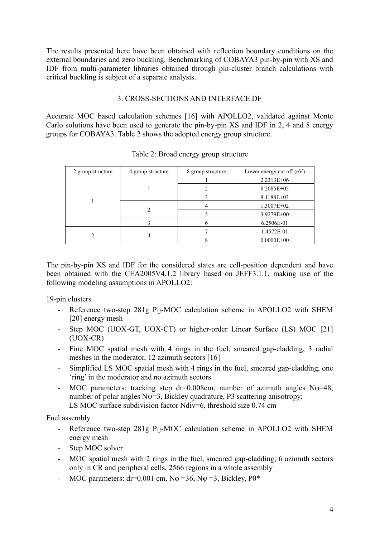The results presented here have been obtained with reflection boundary conditions on the external boundaries and zero buckling. Benchmarking of COBAYA3 pin-by-pin with XS and IDF from multi-parameter libraries obtained through pin-cluster branch calculations with critical buckling is subject of a separate analysis.

# 3. CROSS-SECTIONS AND INTERFACE DF

Accurate MOC based calculation schemes [16] with APOLLO2, validated against Monte Carlo solutions have been used to generate the pin-by-pin XS and IDF in 2, 4 and 8 energy groups for COBAYA3. Table 2 shows the adopted energy group structure.

| 2 group structure | 4 group structure | 8 group structure | Lower energy cut off $(eV)$ |
|-------------------|-------------------|-------------------|-----------------------------|
|                   |                   |                   | 2.2313E+06                  |
|                   |                   |                   | 8.2085E+05                  |
|                   |                   |                   | $9.1188E + 03$              |
|                   |                   |                   | $1.3007E + 02$              |
|                   |                   |                   | 3.9279E+00                  |
|                   |                   | n                 | 6.2506E-01                  |
|                   |                   |                   | 1.4572E-01                  |
|                   |                   |                   | $0.0000E + 00$              |

Table 2: Broad energy group structure

The pin-by-pin XS and IDF for the considered states are cell-position dependent and have been obtained with the CEA2005V4.1.2 library based on JEFF3.1.1, making use of the following modeling assumptions in APOLLO2:

19-pin clusters

- Reference two-step 281g Pij-MOC calculation scheme in APOLLO2 with SHEM [20] energy mesh
- Step MOC (UOX-GT, UOX-CT) or higher-order Linear Surface (LS) MOC [21] (UOX-CR)
- Fine MOC spatial mesh with 4 rings in the fuel, smeared gap-cladding, 3 radial meshes in the moderator, 12 azimuth sectors [16]
- Simplified LS MOC spatial mesh with 4 rings in the fuel, smeared gap-cladding, one 'ring' in the moderator and no azimuth sectors
- MOC parameters: tracking step dr=0.008cm, number of azimuth angles No=48, number of polar angles  $N_{\Psi} = 3$ , Bickley quadrature, P3 scattering anisotropy; LS MOC surface subdivision factor Ndiv=6, threshold size 0.74 cm

Fuel assembly

- Reference two-step 281g Pij-MOC calculation scheme in APOLLO2 with SHEM energy mesh
- Step MOC solver
- MOC spatial mesh with 2 rings in the fuel, smeared gap-cladding, 6 azimuth sectors only in CR and peripheral cells, 2566 regions in a whole assembly
- MOC parameters: dr=0.001 cm,  $N\varphi = 36$ ,  $N\psi = 3$ , Bickley,  $P0^*$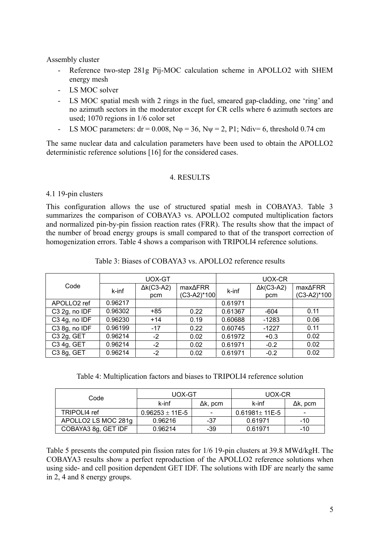Assembly cluster

- Reference two-step 281g Pij-MOC calculation scheme in APOLLO2 with SHEM energy mesh
- LS MOC solver
- LS MOC spatial mesh with 2 rings in the fuel, smeared gap-cladding, one 'ring' and no azimuth sectors in the moderator except for CR cells where 6 azimuth sectors are used; 1070 regions in 1/6 color set
- LS MOC parameters:  $dr = 0.008$ ,  $N\varphi = 36$ ,  $N\psi = 2$ , P1; Ndiv= 6, threshold 0.74 cm

The same nuclear data and calculation parameters have been used to obtain the APOLLO2 deterministic reference solutions [16] for the considered cases.

# 4. RESULTS

# 4.1 19-pin clusters

This configuration allows the use of structured spatial mesh in COBAYA3. Table 3 summarizes the comparison of COBAYA3 vs. APOLLO2 computed multiplication factors and normalized pin-by-pin fission reaction rates (FRR). The results show that the impact of the number of broad energy groups is small compared to that of the transport correction of homogenization errors. Table 4 shows a comparison with TRIPOLI4 reference solutions.

|                         |         | UOX-GT                    |                                  | UOX-CR  |                           |                                  |  |
|-------------------------|---------|---------------------------|----------------------------------|---------|---------------------------|----------------------------------|--|
| Code                    | k-inf   | $\Delta k$ (C3-A2)<br>pcm | $max\Delta FRR$<br>$(C3-A2)*100$ | k-inf   | $\Delta k$ (C3-A2)<br>pcm | $max\Delta FRR$<br>$(C3-A2)*100$ |  |
| APOLLO <sub>2</sub> ref | 0.96217 |                           |                                  | 0.61971 |                           |                                  |  |
| C3 2g, no IDF           | 0.96302 | $+85$                     | 0.22                             | 0.61367 | -604                      | 0.11                             |  |
| C3 4g, no IDF           | 0.96230 | $+14$                     | 0.19                             | 0.60688 | $-1283$                   | 0.06                             |  |
| C3 8g, no IDF           | 0.96199 | $-17$                     | 0.22                             | 0.60745 | $-1227$                   | 0.11                             |  |
| C3 2g, GET              | 0.96214 | $-2$                      | 0.02                             | 0.61972 | $+0.3$                    | 0.02                             |  |
| C3 4g, GET              | 0.96214 | $-2$                      | 0.02                             | 0.61971 | $-0.2$                    | 0.02                             |  |
| C3 8g, GET              | 0.96214 | $-2$                      | 0.02                             | 0.61971 | $-0.2$                    | 0.02                             |  |

Table 3: Biases of COBAYA3 vs. APOLLO2 reference results

Table 4: Multiplication factors and biases to TRIPOLI4 reference solution

| Code                | UOX-GT                |                          | UOX-CR                |                 |  |
|---------------------|-----------------------|--------------------------|-----------------------|-----------------|--|
|                     | k-inf                 | $\Delta k$ , pcm         | k-inf                 | $\Delta$ k, pcm |  |
| TRIPOLI4 ref        | $0.96253 \pm 11E - 5$ | $\overline{\phantom{0}}$ | $0.61981 \pm 11E - 5$ |                 |  |
| APOLLO2 LS MOC 281g | 0.96216               | -37                      | 0.61971               | -10             |  |
| COBAYA3 8g, GET IDF | 0.96214               | -39                      | 0.61971               | -10             |  |

Table 5 presents the computed pin fission rates for 1/6 19-pin clusters at 39.8 MWd/kgH. The COBAYA3 results show a perfect reproduction of the APOLLO2 reference solutions when using side- and cell position dependent GET IDF. The solutions with IDF are nearly the same in 2, 4 and 8 energy groups.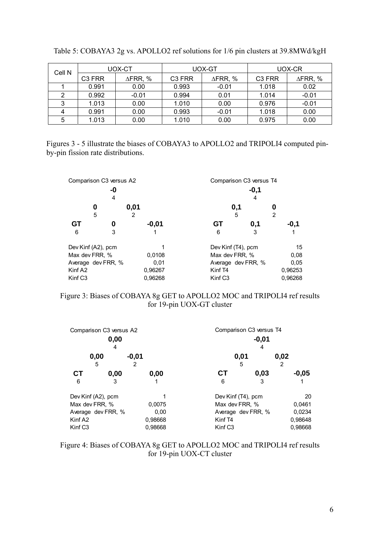| Cell N |                    | UOX-CT          |                    | UOX-GT             | UOX-CR             |                 |  |
|--------|--------------------|-----------------|--------------------|--------------------|--------------------|-----------------|--|
|        | C <sub>3</sub> FRR | $\Delta$ FRR, % | C <sub>3</sub> FRR | $\triangle$ FRR, % | C <sub>3</sub> FRR | $\Delta$ FRR, % |  |
|        | 0.991              | 0.00            | 0.993              | $-0.01$            | 1.018              | 0.02            |  |
|        | 0.992              | $-0.01$         | 0.994              | 0.01               | 1.014              | $-0.01$         |  |
|        | 1.013              | 0.00            | 1.010              | 0.00               | 0.976              | $-0.01$         |  |
|        | 0.991              | 0.00            | 0.993              | $-0.01$            | 1.018              | 0.00            |  |
| 5      | 1.013              | 0.00            | 1.010              | 0.00               | 0.975              | 0.00            |  |

| Table 5: COBAYA3 2g vs. APOLLO2 ref solutions for 1/6 pin clusters at 39.8MWd/kgH |
|-----------------------------------------------------------------------------------|
|-----------------------------------------------------------------------------------|

Figures 3 - 5 illustrate the biases of COBAYA3 to APOLLO2 and TRIPOLI4 computed pinby-pin fission rate distributions.

|                     | Comparison C <sub>3</sub> versus A <sub>2</sub> |           |                     | Comparison C3 versus T4 |         |
|---------------------|-------------------------------------------------|-----------|---------------------|-------------------------|---------|
|                     | -0<br>4                                         |           |                     | $-0,1$<br>4             |         |
|                     | 0<br>5                                          | 0,01<br>2 |                     | 0,1<br>5                | 2       |
| GТ                  | 0                                               | $-0,01$   | GT                  | 0,1                     | $-0,1$  |
| 6                   | 3                                               |           | 6                   | 3                       |         |
|                     | Dev Kinf (A2), pcm                              |           |                     | Dev Kinf (T4), pcm      | 15      |
| Max dev FRR, %      |                                                 | 0,0108    |                     | Max dev FRR, %          | 0,08    |
|                     | Average dev FRR, %                              | 0,01      |                     | Average dev FRR, %      | 0.05    |
| Kinf A <sub>2</sub> |                                                 | 0,96267   | Kinf T <sub>4</sub> |                         | 0,96253 |
| Kinf C <sub>3</sub> |                                                 | 0,96268   | Kinf C <sub>3</sub> |                         | 0,96268 |

Figure 3: Biases of COBAYA 8g GET to APOLLO2 MOC and TRIPOLI4 ref results for 19-pin UOX-GT cluster

|                     | Comparison C <sub>3</sub> versus A <sub>2</sub> |              |                     | Comparison C <sub>3</sub> versus T <sub>4</sub> |           |  |  |  |  |
|---------------------|-------------------------------------------------|--------------|---------------------|-------------------------------------------------|-----------|--|--|--|--|
|                     | $-0,01$<br>4                                    |              |                     |                                                 |           |  |  |  |  |
|                     | 0,00<br>5                                       | $-0,01$<br>2 |                     | 0,01<br>5                                       | 0,02<br>2 |  |  |  |  |
| СT                  | 0,00                                            | 0,00         | СT                  | 0,03                                            | $-0,05$   |  |  |  |  |
| 6                   | 3                                               |              | 6                   | 3                                               |           |  |  |  |  |
| Dev Kinf (A2), pcm  |                                                 |              |                     | Dev Kinf (T4), pcm                              | 20        |  |  |  |  |
| Max dev FRR, %      |                                                 | 0,0075       |                     | Max dev FRR, %                                  | 0,0461    |  |  |  |  |
|                     | Average dev FRR, %                              | 0,00         |                     | Average dev FRR, %                              | 0.0234    |  |  |  |  |
| Kinf A <sub>2</sub> |                                                 | 0,98668      | Kinf T <sub>4</sub> |                                                 | 0,98648   |  |  |  |  |
| Kinf C <sub>3</sub> |                                                 | 0,98668      | Kinf C <sub>3</sub> |                                                 | 0,98668   |  |  |  |  |

Figure 4: Biases of COBAYA 8g GET to APOLLO2 MOC and TRIPOLI4 ref results for 19-pin UOX-CT cluster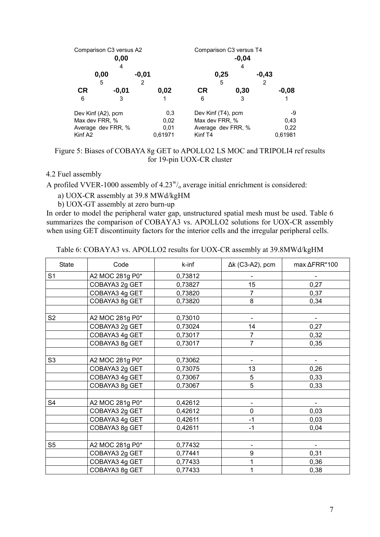|                     | Comparison C3 versus A2<br>0,00<br>4 |              |           | Comparison C3 versus T4<br>$-0,04$<br>4 |              |
|---------------------|--------------------------------------|--------------|-----------|-----------------------------------------|--------------|
|                     | 0,00<br>5                            | $-0.01$<br>2 |           | 0,25<br>5                               | $-0,43$<br>2 |
| <b>CR</b>           | $-0.01$                              | 0,02         | <b>CR</b> | 0,30                                    | $-0,08$      |
| 6                   | 3                                    |              | 6         | 3                                       |              |
|                     | Dev Kinf (A2), pcm                   | 0,3          |           | Dev Kinf (T4), pcm                      | -9           |
| Max dev FRR, %      |                                      | 0,02         |           | Max dev FRR, %                          | 0.43         |
|                     | Average dev FRR, %                   | 0,01         |           | Average dev FRR, %                      | 0,22         |
| Kinf A <sub>2</sub> |                                      | 0,61971      | Kinf T4   |                                         | 0,61981      |

# Figure 5: Biases of COBAYA 8g GET to APOLLO2 LS MOC and TRIPOLI4 ref results for 19-pin UOX-CR cluster

## 4.2 Fuel assembly

A profiled VVER-1000 assembly of  $4.23^{\nu/2}$  average initial enrichment is considered:

a) UOX-CR assembly at 39.8 MWd/kgHM

b) UOX-GT assembly at zero burn-up

In order to model the peripheral water gap, unstructured spatial mesh must be used. Table 6 summarizes the comparison of COBAYA3 vs. APOLLO2 solutions for UOX-CR assembly when using GET discontinuity factors for the interior cells and the irregular peripheral cells.

Table 6: COBAYA3 vs. APOLLO2 results for UOX-CR assembly at 39.8MWd/kgHM

| <b>State</b>   | Code            | k-inf   | $\Delta k$ (C3-A2), pcm  | max ∆FRR*100   |
|----------------|-----------------|---------|--------------------------|----------------|
| S <sub>1</sub> | A2 MOC 281g P0* | 0,73812 |                          |                |
|                | COBAYA3 2g GET  | 0,73827 | 15                       | 0,27           |
|                | COBAYA3 4g GET  | 0,73820 | 7                        | 0,37           |
|                | COBAYA3 8g GET  | 0,73820 | 8                        | 0,34           |
|                |                 |         |                          |                |
| S <sub>2</sub> | A2 MOC 281g P0* | 0,73010 |                          |                |
|                | COBAYA3 2g GET  | 0,73024 | 14                       | 0,27           |
|                | COBAYA3 4g GET  | 0,73017 | 7                        | 0,32           |
|                | COBAYA3 8g GET  | 0,73017 | $\overline{7}$           | 0,35           |
|                |                 |         |                          |                |
| S <sub>3</sub> | A2 MOC 281g P0* | 0,73062 |                          |                |
|                | COBAYA3 2g GET  | 0,73075 | 13                       | 0,26           |
|                | COBAYA3 4g GET  | 0,73067 | 5                        | 0,33           |
|                | COBAYA3 8g GET  | 0,73067 | 5                        | 0,33           |
|                |                 |         |                          |                |
| S4             | A2 MOC 281g P0* | 0,42612 |                          |                |
|                | COBAYA3 2g GET  | 0,42612 | $\mathbf 0$              | 0,03           |
|                | COBAYA3 4g GET  | 0,42611 | $-1$                     | 0,03           |
|                | COBAYA3 8g GET  | 0,42611 | $-1$                     | 0,04           |
|                |                 |         |                          |                |
| S <sub>5</sub> | A2 MOC 281g P0* | 0,77432 | $\overline{\phantom{a}}$ | $\blacksquare$ |
|                | COBAYA3 2g GET  | 0,77441 | 9                        | 0,31           |
|                | COBAYA3 4g GET  | 0,77433 | 1                        | 0,36           |
|                | COBAYA3 8g GET  | 0,77433 | 1                        | 0,38           |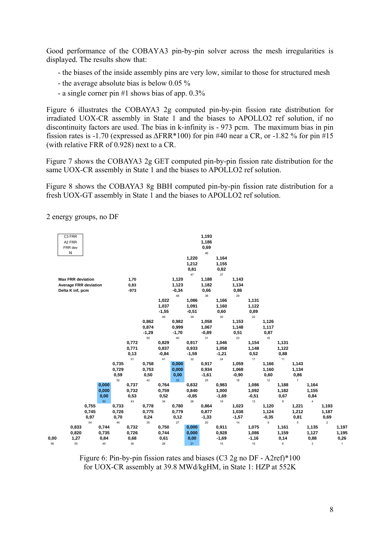Good performance of the COBAYA3 pin-by-pin solver across the mesh irregularities is displayed. The results show that:

- the biases of the inside assembly pins are very low, similar to those for structured mesh
- the average absolute bias is below 0.05 %
- a single corner pin #1 shows bias of app. 0.3%

Figure 6 illustrates the COBAYA3 2g computed pin-by-pin fission rate distribution for irradiated UOX-CR assembly in State 1 and the biases to APOLLO2 ref solution, if no discontinuity factors are used. The bias in k-infinity is - 973 pcm. The maximum bias in pin fission rates is -1.70 (expressed as  $\Delta$ FRR\*100) for pin #40 near a CR, or -1.82 % for pin #15 (with relative FRR of 0.928) next to a CR.

Figure 7 shows the COBAYA3 2g GET computed pin-by-pin fission rate distribution for the same UOX-CR assembly in State 1 and the biases to APOLLO2 ref solution.

Figure 8 shows the COBAYA3 8g BBH computed pin-by-pin fission rate distribution for a fresh UOX-GT assembly in State 1 and the biases to APOLLO2 ref solution.

2 energy groups, no DF



Figure 6: Pin-by-pin fission rates and biases (C3 2g no DF - A2ref)\*100 for UOX-CR assembly at 39.8 MWd/kgHM, in State 1: HZP at 552K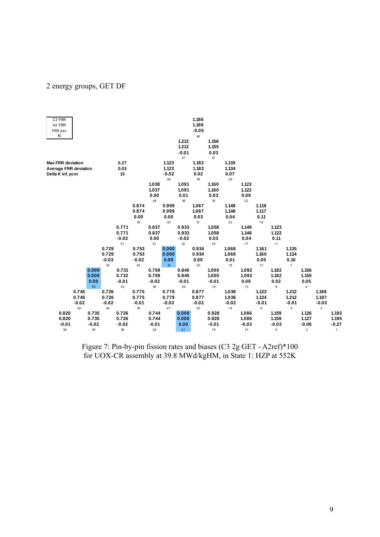#### 2 energy groups, GET DF



Figure 7: Pin-by-pin fission rates and biases (C3 2g GET - A2ref)\*100 for UOX-CR assembly at 39.8 MWd/kgHM, in State 1: HZP at 552K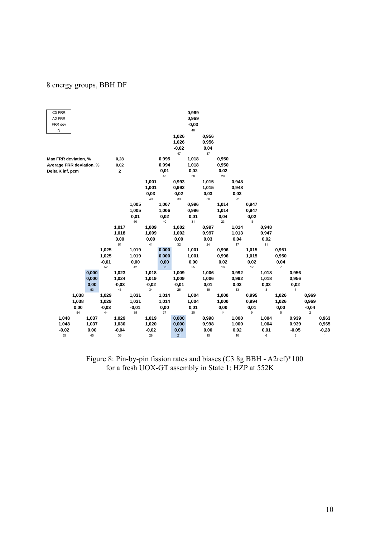# 8 energy groups, BBH DF

| C3 FRR                   |                |       |                |         |                |            |                |            | 0,969          |            |                |            |                |        |                |                         |                |              |
|--------------------------|----------------|-------|----------------|---------|----------------|------------|----------------|------------|----------------|------------|----------------|------------|----------------|--------|----------------|-------------------------|----------------|--------------|
| A2 FRR                   |                |       |                |         |                |            |                |            | 0,969          |            |                |            |                |        |                |                         |                |              |
| FRR dev                  |                |       |                |         |                |            |                |            | $-0,03$        |            |                |            |                |        |                |                         |                |              |
| N                        |                |       |                |         |                |            |                |            | 46             |            |                |            |                |        |                |                         |                |              |
|                          |                |       |                |         |                |            |                | 1,026      |                | 0,956      |                |            |                |        |                |                         |                |              |
|                          |                |       |                |         |                |            |                | 1,026      |                | 0,956      |                |            |                |        |                |                         |                |              |
|                          |                |       |                |         |                |            |                | $-0,02$    |                | 0,04       |                |            |                |        |                |                         |                |              |
|                          |                |       |                |         |                |            |                | 47         |                | 37         |                |            |                |        |                |                         |                |              |
| Max FRR deviation, %     |                |       |                | 0,28    |                |            | 0,995          |            | 1,018          |            | 0,950          |            |                |        |                |                         |                |              |
| Average FRR deviation, % |                |       |                | 0,02    |                |            | 0,994          |            | 1,018          |            | 0,950          |            |                |        |                |                         |                |              |
| Delta K inf, pcm         |                |       |                | 2       |                |            | 0,01           |            | 0,02           |            | 0,02           |            |                |        |                |                         |                |              |
|                          |                |       |                |         |                |            | 48             |            | 38             |            | 29             |            |                |        |                |                         |                |              |
|                          |                |       |                |         |                | 1,001      |                | 0,993      |                | 1,015      |                | 0,948      |                |        |                |                         |                |              |
|                          |                |       |                |         |                | 1,001      |                | 0,992      |                | 1,015      |                | 0,948      |                |        |                |                         |                |              |
|                          |                |       |                |         |                | 0,03<br>49 |                | 0,02<br>39 |                | 0,03<br>30 |                | 0,03<br>22 |                |        |                |                         |                |              |
|                          |                |       |                |         | 1,005          |            | 1,007          |            | 0,996          |            | 1,014          |            | 0,947          |        |                |                         |                |              |
|                          |                |       |                |         | 1,005          |            | 1,006          |            | 0,996          |            | 1,014          |            | 0,947          |        |                |                         |                |              |
|                          |                |       |                |         | 0,01           |            | 0,02           |            | 0,01           |            | 0,04           |            | 0,02           |        |                |                         |                |              |
|                          |                |       |                |         | 50             |            | 40             |            | 31             |            | 23             |            | 16             |        |                |                         |                |              |
|                          |                |       |                | 1,017   |                | 1,009      |                | 1,002      |                | 0,997      |                | 1,014      |                | 0,948  |                |                         |                |              |
|                          |                |       |                | 1,018   |                | 1,009      |                | 1,002      |                | 0,997      |                | 1,013      |                | 0,947  |                |                         |                |              |
|                          |                |       |                | 0,00    |                | 0,00       |                | 0,00       |                | 0,03       |                | 0,04       |                | 0,02   |                |                         |                |              |
|                          |                |       |                | 51      |                | 41         |                | 32         |                | 24         |                | 17         |                | 11     |                |                         |                |              |
|                          |                |       | 1,025          |         | 1,019          |            | 0,000          |            | 1,001          |            | 0,996          |            | 1,015          |        | 0,951          |                         |                |              |
|                          |                |       | 1,025          |         | 1,019          |            | 0,000          |            | 1,001          |            | 0,996          |            | 1,015          |        | 0,950          |                         |                |              |
|                          |                |       | $-0,01$        |         | 0,00           |            | 0,00           |            | 0,00           |            | 0,02           |            | 0,02           |        | 0,04           |                         |                |              |
|                          |                |       | 52             |         | 42             |            | 33             |            | 25             |            | 18             |            | $12\,$         |        | $\overline{7}$ |                         |                |              |
|                          |                | 0,000 |                | 1,023   |                | 1,018      |                | 1,009      |                | 1,006      |                | 0,992      |                | 1,018  |                | 0,956                   |                |              |
|                          |                | 0,000 |                | 1,024   |                | 1,019      |                | 1,009      |                | 1,006      |                | 0,992      |                | 1,018  |                | 0,956                   |                |              |
|                          |                | 0,00  |                | $-0,03$ |                | $-0,02$    |                | $-0,01$    |                | 0,01       |                | 0,03       |                | 0,03   |                | 0,02                    |                |              |
|                          |                | 53    |                | 43      |                | 34         |                | 26         |                | 19         |                | 13         |                | $\bf8$ |                | $\overline{\mathbf{4}}$ |                |              |
|                          | 1,038<br>1,038 |       | 1,029<br>1,029 |         | 1,031<br>1,031 |            | 1,014<br>1,014 |            | 1,004<br>1,004 |            | 1,000<br>1,000 |            | 0,995<br>0,994 |        | 1,026<br>1,026 |                         | 0,969<br>0,969 |              |
|                          | 0,00           |       | $-0,03$        |         | $-0,01$        |            | 0,00           |            | 0,01           |            | 0,00           |            | 0,01           |        | 0,00           |                         | $-0,04$        |              |
|                          | 54             |       | 44             |         | 35             |            | 27             |            | 20             |            | 14             |            | 9              |        | 5              |                         | $\overline{2}$ |              |
| 1,048                    |                | 1,037 |                | 1,029   |                | 1,019      |                | 0,000      |                | 0,998      |                | 1,000      |                | 1,004  |                | 0,939                   |                | 0,963        |
| 1,048                    |                | 1,037 |                | 1,030   |                | 1,020      |                | 0,000      |                | 0,998      |                | 1,000      |                | 1,004  |                | 0,939                   |                | 0,965        |
| $-0,02$                  |                | 0,00  |                | $-0,04$ |                | $-0,02$    |                | 0,00       |                | 0,00       |                | 0,02       |                | 0,01   |                | $-0,05$                 |                | $-0,28$      |
| 55                       |                | 45    |                | 36      |                | 28         |                | 21         |                | 15         |                | 10         |                | 6      |                | 3                       |                | $\mathbf{1}$ |

 Figure 8: Pin-by-pin fission rates and biases (C3 8g BBH - A2ref)\*100 for a fresh UOX-GT assembly in State 1: HZP at 552K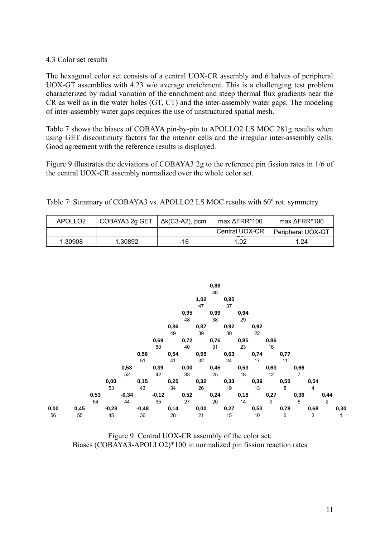# 4.3 Color set results

The hexagonal color set consists of a central UOX-CR assembly and 6 halves of peripheral UOX-GT assemblies with 4.23 w/o average enrichment. This is a challenging test problem characterized by radial variation of the enrichment and steep thermal flux gradients near the CR as well as in the water holes (GT, CT) and the inter-assembly water gaps. The modeling of inter-assembly water gaps requires the use of unstructured spatial mesh.

Table 7 shows the biases of COBAYA pin-by-pin to APOLLO2 LS MOC 281g results when using GET discontinuity factors for the interior cells and the irregular inter-assembly cells. Good agreement with the reference results is displayed.

Figure 9 illustrates the deviations of COBAYA3 2g to the reference pin fission rates in 1/6 of the central UOX-CR assembly normalized over the whole color set.

| APOLLO <sub>2</sub> | COBAYA3 2g GET | $\Delta k$ (C3-A2), pcm | $max \Delta$ FRR*100 | max ΔFRR*100      |
|---------------------|----------------|-------------------------|----------------------|-------------------|
|                     |                |                         | Central UOX-CR       | Peripheral UOX-GT |
| 1.30908             | 1.30892        | -16                     | 1.02                 | 1.24              |

Table 7: Summary of COBAYA3 vs. APOLLO2 LS MOC results with 60° rot. symmetry



Figure 9: Central UOX-CR assembly of the color set: Biases (COBAYA3-APOLLO2)\*100 in normalized pin fission reaction rates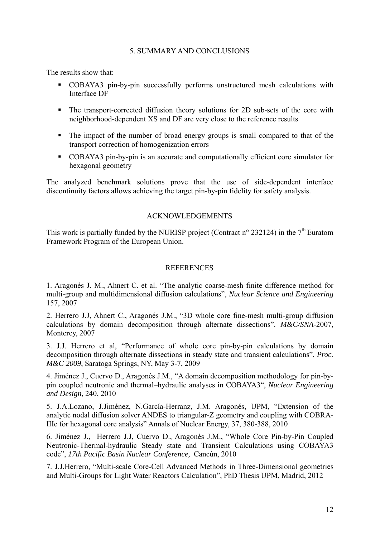# 5. SUMMARY AND CONCLUSIONS

The results show that:

- COBAYA3 pin-by-pin successfully performs unstructured mesh calculations with Interface DF
- The transport-corrected diffusion theory solutions for 2D sub-sets of the core with neighborhood-dependent XS and DF are very close to the reference results
- The impact of the number of broad energy groups is small compared to that of the transport correction of homogenization errors
- COBAYA3 pin-by-pin is an accurate and computationally efficient core simulator for hexagonal geometry

The analyzed benchmark solutions prove that the use of side-dependent interface discontinuity factors allows achieving the target pin-by-pin fidelity for safety analysis.

## ACKNOWLEDGEMENTS

This work is partially funded by the NURISP project (Contract  $n^{\circ}$  232124) in the  $7^{\text{th}}$  Euratom Framework Program of the European Union.

#### **REFERENCES**

1. Aragonés J. M., Ahnert C. et al. "The analytic coarse-mesh finite difference method for multi-group and multidimensional diffusion calculations", *Nuclear Science and Engineering*  157, 2007

2. Herrero J.J, Ahnert C., Aragonés J.M., "3D whole core fine-mesh multi-group diffusion calculations by domain decomposition through alternate dissections". *M&C/SNA*-2007, Monterey, 2007

3. J.J. Herrero et al, "Performance of whole core pin-by-pin calculations by domain decomposition through alternate dissections in steady state and transient calculations", *Proc. M&C 2009*, Saratoga Springs, NY, May 3-7, 2009

4. Jiménez J., Cuervo D., Aragonés J.M., "A domain decomposition methodology for pin-bypin coupled neutronic and thermal–hydraulic analyses in COBAYA3", *Nuclear Engineering and Design*, 240, 2010

5. J.A.Lozano, J.Jiménez, N.García-Herranz, J.M. Aragonés, UPM, "Extension of the analytic nodal diffusion solver ANDES to triangular-Z geometry and coupling with COBRA-IIIc for hexagonal core analysis" Annals of Nuclear Energy, 37, 380-388, 2010

6. Jiménez J., Herrero J.J, Cuervo D., Aragonés J.M., "Whole Core Pin-by-Pin Coupled Neutronic-Thermal-hydraulic Steady state and Transient Calculations using COBAYA3 code", *17th Pacific Basin Nuclear Conference,* Cancún, 2010

7. J.J.Herrero, "Multi-scale Core-Cell Advanced Methods in Three-Dimensional geometries and Multi-Groups for Light Water Reactors Calculation", PhD Thesis UPM, Madrid, 2012